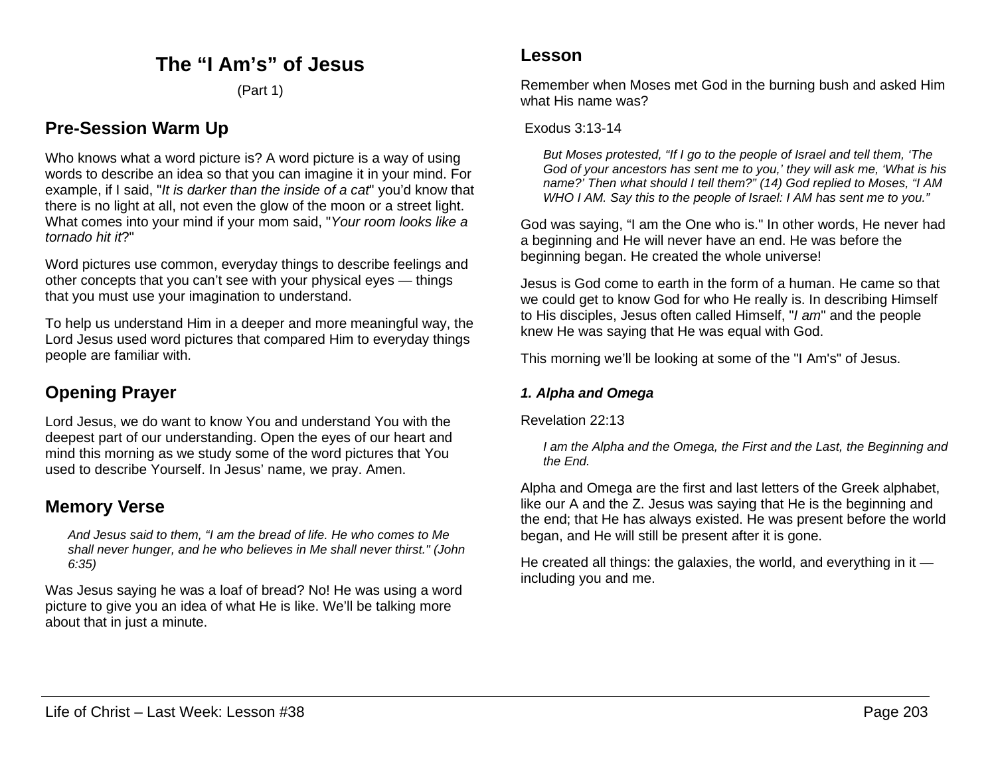## **The "I Am's" of Jesus**

(Part 1)

## **Pre-Session Warm Up**

Who knows what a word picture is? A word picture is a way of using words to describe an idea so that you can imagine it in your mind. For example, if I said, "*It is darker than the inside of a cat*" you'd know that there is no light at all, not even the glow of the moon or a street light. What comes into your mind if your mom said, "*Your room looks like a tornado hit it*?"

Word pictures use common, everyday things to describe feelings and other concepts that you can't see with your physical eyes — things that you must use your imagination to understand.

To help us understand Him in a deeper and more meaningful way, the Lord Jesus used word pictures that compared Him to everyday things people are familiar with.

# **Opening Prayer**

Lord Jesus, we do want to know You and understand You with the deepest part of our understanding. Open the eyes of our heart and mind this morning as we study some of the word pictures that You used to describe Yourself. In Jesus' name, we pray. Amen.

### **Memory Verse**

*And Jesus said to them, "I am the bread of life. He who comes to Me shall never hunger, and he who believes in Me shall never thirst." (John 6:35)*

Was Jesus saying he was a loaf of bread? No! He was using a word picture to give you an idea of what He is like. We'll be talking more about that in just a minute.

Remember when Moses met God in the burning bush and asked Him what His name was?

#### Exodus 3:13-14

*But Moses protested, "If I go to the people of Israel and tell them, 'The God of your ancestors has sent me to you,' they will ask me, 'What is his name?' Then what should I tell them?" (14) God replied to Moses, "I AM WHO I AM. Say this to the people of Israel: I AM has sent me to you."*

God was saying, "I am the One who is." In other words, He never had a beginning and He will never have an end. He was before the beginning began. He created the whole universe!

Jesus is God come to earth in the form of a human. He came so that we could get to know God for who He really is. In describing Himself to His disciples, Jesus often called Himself, "*I am*" and the people knew He was saying that He was equal with God.

This morning we'll be looking at some of the "I Am's" of Jesus.

#### *1. Alpha and Omega*

Revelation 22:13

*I am the Alpha and the Omega, the First and the Last, the Beginning and the End.*

Alpha and Omega are the first and last letters of the Greek alphabet, like our A and the Z. Jesus was saying that He is the beginning and the end; that He has always existed. He was present before the world began, and He will still be present after it is gone.

He created all things: the galaxies, the world, and everything in it including you and me.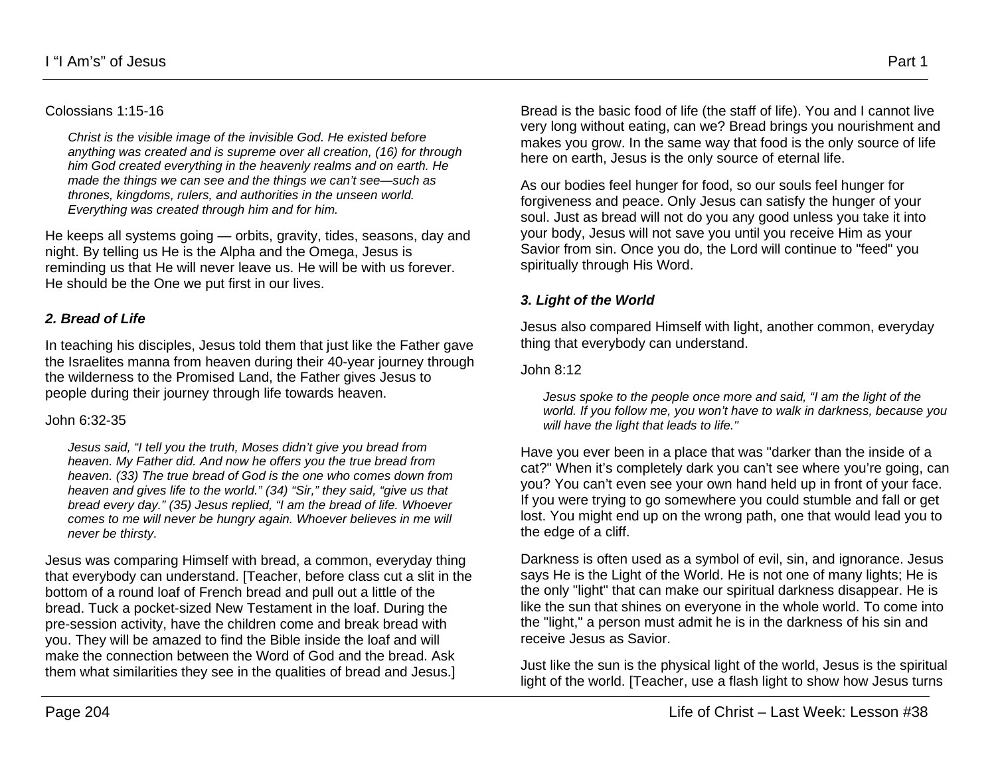#### Colossians 1:15-16

*Christ is the visible image of the invisible God. He existed before anything was created and is supreme over all creation, (16) for through him God created everything in the heavenly realms and on earth. He made the things we can see and the things we can't see—such as thrones, kingdoms, rulers, and authorities in the unseen world. Everything was created through him and for him.*

He keeps all systems going — orbits, gravity, tides, seasons, day and night. By telling us He is the Alpha and the Omega, Jesus is reminding us that He will never leave us. He will be with us forever. He should be the One we put first in our lives.

#### *2. Bread of Life*

In teaching his disciples, Jesus told them that just like the Father gave the Israelites manna from heaven during their 40-year journey through the wilderness to the Promised Land, the Father gives Jesus to people during their journey through life towards heaven.

#### John 6:32-35

*Jesus said, "I tell you the truth, Moses didn't give you bread from heaven. My Father did. And now he offers you the true bread from heaven. (33) The true bread of God is the one who comes down from heaven and gives life to the world." (34) "Sir," they said, "give us that bread every day." (35) Jesus replied, "I am the bread of life. Whoever comes to me will never be hungry again. Whoever believes in me will never be thirsty.*

Jesus was comparing Himself with bread, a common, everyday thing that everybody can understand. [Teacher, before class cut a slit in the bottom of a round loaf of French bread and pull out a little of the bread. Tuck a pocket-sized New Testament in the loaf. During the pre-session activity, have the children come and break bread with you. They will be amazed to find the Bible inside the loaf and will make the connection between the Word of God and the bread. Ask them what similarities they see in the qualities of bread and Jesus.]

Bread is the basic food of life (the staff of life). You and I cannot live very long without eating, can we? Bread brings you nourishment and makes you grow. In the same way that food is the only source of life here on earth, Jesus is the only source of eternal life.

As our bodies feel hunger for food, so our souls feel hunger for forgiveness and peace. Only Jesus can satisfy the hunger of your soul. Just as bread will not do you any good unless you take it into your body, Jesus will not save you until you receive Him as your Savior from sin. Once you do, the Lord will continue to "feed" you spiritually through His Word.

#### *3. Light of the World*

Jesus also compared Himself with light, another common, everyday thing that everybody can understand.

#### John 8:12

*Jesus spoke to the people once more and said, "I am the light of the world. If you follow me, you won't have to walk in darkness, because you will have the light that leads to life."*

Have you ever been in a place that was "darker than the inside of a cat?" When it's completely dark you can't see where you're going, can you? You can't even see your own hand held up in front of your face. If you were trying to go somewhere you could stumble and fall or get lost. You might end up on the wrong path, one that would lead you to the edge of a cliff.

Darkness is often used as a symbol of evil, sin, and ignorance. Jesus says He is the Light of the World. He is not one of many lights; He is the only "light" that can make our spiritual darkness disappear. He is like the sun that shines on everyone in the whole world. To come into the "light," a person must admit he is in the darkness of his sin and receive Jesus as Savior.

Just like the sun is the physical light of the world, Jesus is the spiritual light of the world. [Teacher, use a flash light to show how Jesus turns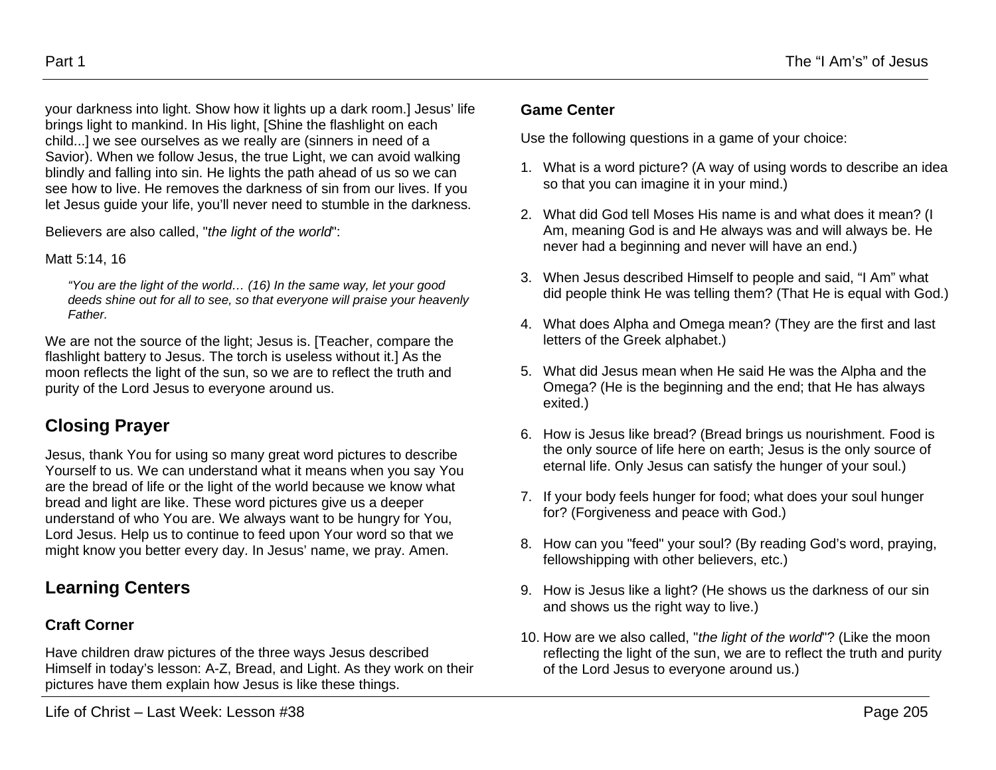your darkness into light. Show how it lights up a dark room.] Jesus' life brings light to mankind. In His light, [Shine the flashlight on each child...] we see ourselves as we really are (sinners in need of a Savior). When we follow Jesus, the true Light, we can avoid walking blindly and falling into sin. He lights the path ahead of us so we can see how to live. He removes the darkness of sin from our lives. If you let Jesus guide your life, you'll never need to stumble in the darkness.

Believers are also called, "*the light of the world*":

Matt 5:14, 16

*"You are the light of the world… (16) In the same way, let your good deeds shine out for all to see, so that everyone will praise your heavenly Father.*

We are not the source of the light; Jesus is. [Teacher, compare the flashlight battery to Jesus. The torch is useless without it.] As the moon reflects the light of the sun, so we are to reflect the truth and purity of the Lord Jesus to everyone around us.

# **Closing Prayer**

Jesus, thank You for using so many great word pictures to describe Yourself to us. We can understand what it means when you say You are the bread of life or the light of the world because we know what bread and light are like. These word pictures give us a deeper understand of who You are. We always want to be hungry for You, Lord Jesus. Help us to continue to feed upon Your word so that we might know you better every day. In Jesus' name, we pray. Amen.

# **Learning Centers**

## **Craft Corner**

Have children draw pictures of the three ways Jesus described Himself in today's lesson: A-Z, Bread, and Light. As they work on their pictures have them explain how Jesus is like these things.

#### **Game Center**

Use the following questions in a game of your choice:

- 1. What is a word picture? (A way of using words to describe an idea so that you can imagine it in your mind.)
- 2. What did God tell Moses His name is and what does it mean? (I Am, meaning God is and He always was and will always be. He never had a beginning and never will have an end.)
- 3. When Jesus described Himself to people and said, "I Am" what did people think He was telling them? (That He is equal with God.)
- 4. What does Alpha and Omega mean? (They are the first and last letters of the Greek alphabet.)
- 5. What did Jesus mean when He said He was the Alpha and the Omega? (He is the beginning and the end; that He has always exited.)
- 6. How is Jesus like bread? (Bread brings us nourishment. Food is the only source of life here on earth; Jesus is the only source of eternal life. Only Jesus can satisfy the hunger of your soul.)
- 7. If your body feels hunger for food; what does your soul hunger for? (Forgiveness and peace with God.)
- 8. How can you "feed" your soul? (By reading God's word, praying, fellowshipping with other believers, etc.)
- 9. How is Jesus like a light? (He shows us the darkness of our sin and shows us the right way to live.)
- 10. How are we also called, "*the light of the world*"? (Like the moon reflecting the light of the sun, we are to reflect the truth and purity of the Lord Jesus to everyone around us.)